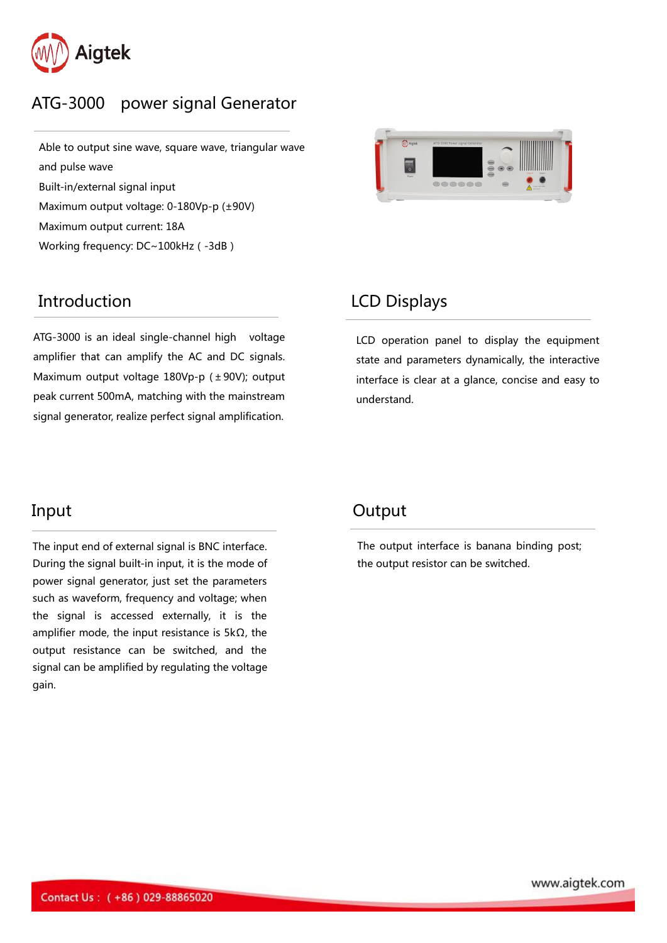

# ATG-3000 power signal Generator

Able to output sine wave, square wave, triangular wave and pulse wave Built-in/external signal input Maximum output voltage: 0-180Vp-p (±90V) Maximum output current: 18A

Working frequency: DC~100kHz (-3dB)

### Introduction LCD Displays

ATG-3000 is an ideal single-channel high voltage  $\begin{array}{ccc}\n\text{LCD} & \text{operation} & \text{panel} \\
\text{amplifier that can amplify the AC and DC signals.} & \text{state and parameters} \\
\text{Maximum output voltage } & 180 \text{Vp-p } (+90 \text{V}); \text{ output} & \text{interface is clear at a} \\
\text{peak current } & 500 \text{mA}, \text{ matching with the mainstream} & \text{understand.}\n\end{array}$ amplifier that can amplify the AC and DC signals. Maximum output voltage 180Vp-p (±90V); output peak current 500mA, matching with the mainstream signal generator, realize perfect signal amplification.



LCD operation panel to display the equipment state and parameters dynamically, the interactive interface is clear at a glance, concise and easy to

The input end of external signal is BNC interface. The output interface is banana bin<br>During the signal built-in input, it is the mode of the output resistor can be switched. power signal generator, just set the parameters such as waveform, frequency and voltage; when the signal is accessed externally, it is the amplifier mode, the input resistance is  $5k\Omega$ , the output resistance can be switched, and the signal can be amplified by regulating the voltage gain.

## Input **Output**

The output interface is banana binding post;

www.aigtek.com